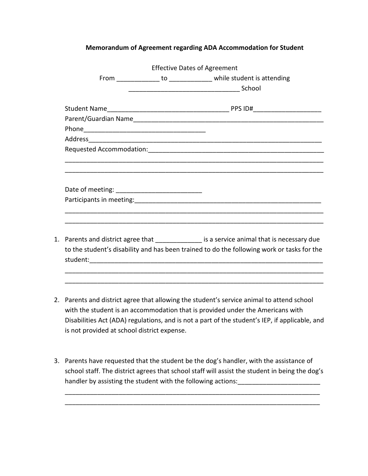## **Memorandum of Agreement regarding ADA Accommodation for Student**

|  |                                                                                            |  | <b>Effective Dates of Agreement</b>                                                         |  |
|--|--------------------------------------------------------------------------------------------|--|---------------------------------------------------------------------------------------------|--|
|  |                                                                                            |  | From ________________ to ________________ while student is attending                        |  |
|  |                                                                                            |  |                                                                                             |  |
|  |                                                                                            |  |                                                                                             |  |
|  |                                                                                            |  |                                                                                             |  |
|  |                                                                                            |  |                                                                                             |  |
|  |                                                                                            |  |                                                                                             |  |
|  |                                                                                            |  |                                                                                             |  |
|  |                                                                                            |  |                                                                                             |  |
|  |                                                                                            |  |                                                                                             |  |
|  |                                                                                            |  |                                                                                             |  |
|  |                                                                                            |  |                                                                                             |  |
|  |                                                                                            |  |                                                                                             |  |
|  |                                                                                            |  | 1. Parents and district agree that ______________ is a service animal that is necessary due |  |
|  | to the student's disability and has been trained to do the following work or tasks for the |  |                                                                                             |  |
|  |                                                                                            |  |                                                                                             |  |
|  |                                                                                            |  |                                                                                             |  |
|  |                                                                                            |  |                                                                                             |  |

- 2. Parents and district agree that allowing the student's service animal to attend school with the student is an accommodation that is provided under the Americans with Disabilities Act (ADA) regulations, and is not a part of the student's IEP, if applicable, and is not provided at school district expense.
- 3. Parents have requested that the student be the dog's handler, with the assistance of school staff. The district agrees that school staff will assist the student in being the dog's handler by assisting the student with the following actions: \_\_\_\_\_\_\_\_\_\_\_\_\_\_\_\_\_\_\_

\_\_\_\_\_\_\_\_\_\_\_\_\_\_\_\_\_\_\_\_\_\_\_\_\_\_\_\_\_\_\_\_\_\_\_\_\_\_\_\_\_\_\_\_\_\_\_\_\_\_\_\_\_\_\_\_\_\_\_\_\_\_\_\_\_\_\_\_\_\_\_ \_\_\_\_\_\_\_\_\_\_\_\_\_\_\_\_\_\_\_\_\_\_\_\_\_\_\_\_\_\_\_\_\_\_\_\_\_\_\_\_\_\_\_\_\_\_\_\_\_\_\_\_\_\_\_\_\_\_\_\_\_\_\_\_\_\_\_\_\_\_\_